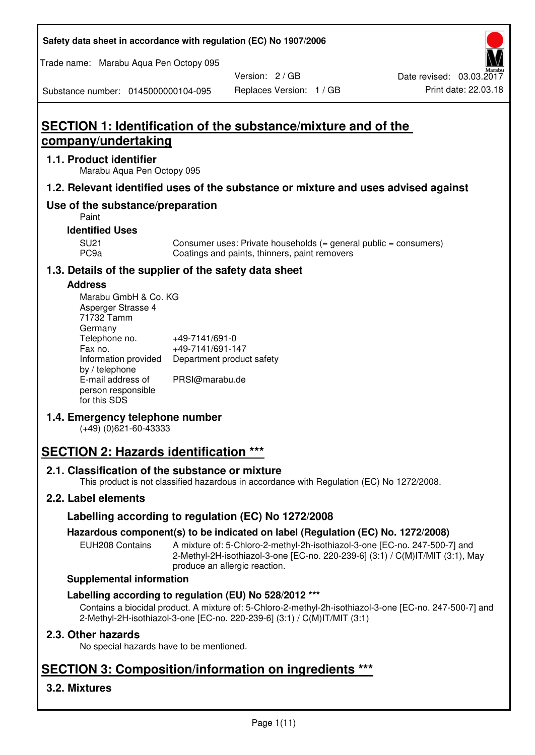| Safety data sheet in accordance with regulation (EC) No 1907/2006 |  |
|-------------------------------------------------------------------|--|
|-------------------------------------------------------------------|--|

Trade name: Marabu Aqua Pen Octopy 095

Version: 2 / GB

Substance number: 0145000000104-095

# **SECTION 1: Identification of the substance/mixture and of the company/undertaking**

## **1.1. Product identifier**

Marabu Aqua Pen Octopy 095

## **1.2. Relevant identified uses of the substance or mixture and uses advised against**

# **Use of the substance/preparation**

Paint

## **Identified Uses**

SU21 Consumer uses: Private households (= general public = consumers)<br>PC9a Coatings and paints, thinners, paint removers Coatings and paints, thinners, paint removers

# **1.3. Details of the supplier of the safety data sheet**

#### **Address**

| Marabu GmbH & Co. KG |                           |
|----------------------|---------------------------|
| Asperger Strasse 4   |                           |
| 71732 Tamm           |                           |
| Germany              |                           |
| Telephone no.        | +49-7141/691-0            |
| Fax no.              | +49-7141/691-147          |
| Information provided | Department product safety |
| by / telephone       |                           |
| E-mail address of    | PRSI@marabu.de            |
| person responsible   |                           |
| for this SDS         |                           |

# **1.4. Emergency telephone number**

(+49) (0)621-60-43333

# **SECTION 2: Hazards identification \*\*\***

# **2.1. Classification of the substance or mixture**

This product is not classified hazardous in accordance with Regulation (EC) No 1272/2008.

# **2.2. Label elements**

# **Labelling according to regulation (EC) No 1272/2008**

# **Hazardous component(s) to be indicated on label (Regulation (EC) No. 1272/2008)**

EUH208 Contains A mixture of: 5-Chloro-2-methyl-2h-isothiazol-3-one [EC-no. 247-500-7] and 2-Methyl-2H-isothiazol-3-one [EC-no. 220-239-6] (3:1) / C(M)IT/MIT (3:1), May produce an allergic reaction.

#### **Supplemental information**

# **Labelling according to regulation (EU) No 528/2012 \*\*\***

Contains a biocidal product. A mixture of: 5-Chloro-2-methyl-2h-isothiazol-3-one [EC-no. 247-500-7] and 2-Methyl-2H-isothiazol-3-one [EC-no. 220-239-6] (3:1) / C(M)IT/MIT (3:1)

# **2.3. Other hazards**

No special hazards have to be mentioned.

# **SECTION 3: Composition/information on ingredients \*\*\***

# **3.2. Mixtures**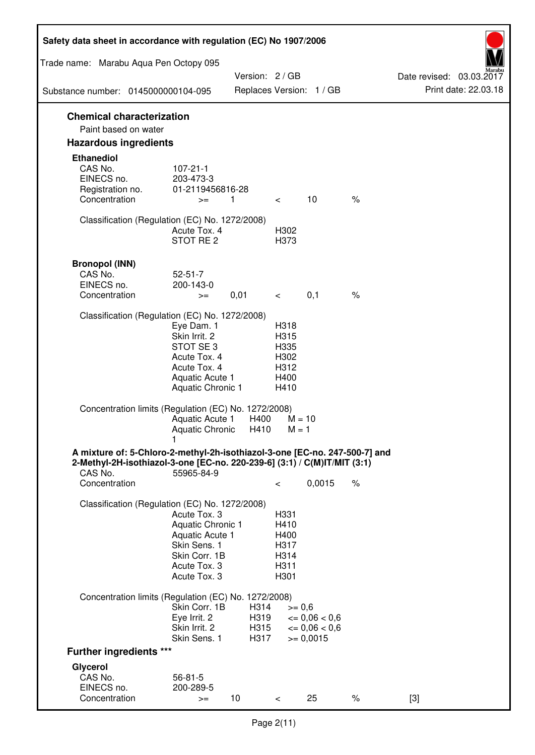| Safety data sheet in accordance with regulation (EC) No 1907/2006                                                                                                 |                                                                                                                       |                              |                                                      |                                                                  |      |                                                  |
|-------------------------------------------------------------------------------------------------------------------------------------------------------------------|-----------------------------------------------------------------------------------------------------------------------|------------------------------|------------------------------------------------------|------------------------------------------------------------------|------|--------------------------------------------------|
| Trade name: Marabu Aqua Pen Octopy 095                                                                                                                            |                                                                                                                       |                              |                                                      |                                                                  |      |                                                  |
| Substance number: 0145000000104-095                                                                                                                               |                                                                                                                       | Version: 2 / GB              |                                                      | Replaces Version: 1 / GB                                         |      | Date revised: 03.03.2017<br>Print date: 22.03.18 |
|                                                                                                                                                                   |                                                                                                                       |                              |                                                      |                                                                  |      |                                                  |
| <b>Chemical characterization</b><br>Paint based on water                                                                                                          |                                                                                                                       |                              |                                                      |                                                                  |      |                                                  |
| <b>Hazardous ingredients</b>                                                                                                                                      |                                                                                                                       |                              |                                                      |                                                                  |      |                                                  |
| <b>Ethanediol</b><br>CAS No.<br>EINECS no.<br>Registration no.<br>Concentration                                                                                   | $107 - 21 - 1$<br>203-473-3<br>01-2119456816-28<br>$>=$                                                               | 1                            | $\lt$ $\sim$                                         | 10                                                               | $\%$ |                                                  |
| Classification (Regulation (EC) No. 1272/2008)                                                                                                                    | Acute Tox. 4<br>STOT RE 2                                                                                             |                              | H302<br>H373                                         |                                                                  |      |                                                  |
| <b>Bronopol (INN)</b><br>CAS No.<br>EINECS no.<br>Concentration                                                                                                   | $52 - 51 - 7$<br>200-143-0<br>$>=$                                                                                    | 0,01                         | $\lt$ $\sim$                                         | 0,1                                                              | $\%$ |                                                  |
| Classification (Regulation (EC) No. 1272/2008)                                                                                                                    |                                                                                                                       |                              |                                                      |                                                                  |      |                                                  |
|                                                                                                                                                                   | Eye Dam. 1<br>Skin Irrit. 2<br>STOT SE3<br>Acute Tox. 4<br>Acute Tox. 4<br>Aquatic Acute 1<br>Aquatic Chronic 1       |                              | H318<br>H315<br>H335<br>H302<br>H312<br>H400<br>H410 |                                                                  |      |                                                  |
| Concentration limits (Regulation (EC) No. 1272/2008)                                                                                                              | Aquatic Acute 1<br>Aquatic Chronic $H410$ M = 1                                                                       | H400                         | $M = 10$                                             |                                                                  |      |                                                  |
| A mixture of: 5-Chloro-2-methyl-2h-isothiazol-3-one [EC-no. 247-500-7] and<br>2-Methyl-2H-isothiazol-3-one [EC-no. 220-239-6] (3:1) / C(M)IT/MIT (3:1)<br>CAS No. | 55965-84-9                                                                                                            |                              |                                                      |                                                                  |      |                                                  |
| Concentration                                                                                                                                                     |                                                                                                                       |                              | $\,<\,$                                              | 0,0015                                                           | $\%$ |                                                  |
| Classification (Regulation (EC) No. 1272/2008)                                                                                                                    | Acute Tox. 3<br>Aquatic Chronic 1<br>Aquatic Acute 1<br>Skin Sens. 1<br>Skin Corr. 1B<br>Acute Tox. 3<br>Acute Tox. 3 |                              | H331<br>H410<br>H400<br>H317<br>H314<br>H311<br>H301 |                                                                  |      |                                                  |
| Concentration limits (Regulation (EC) No. 1272/2008)                                                                                                              |                                                                                                                       |                              |                                                      |                                                                  |      |                                                  |
|                                                                                                                                                                   | Skin Corr. 1B<br>Eye Irrit. 2<br>Skin Irrit. 2<br>Skin Sens. 1                                                        | H314<br>H319<br>H315<br>H317 | $>= 0,6$                                             | $\epsilon = 0.06 < 0.6$<br>$\epsilon = 0.06 < 0.6$<br>$= 0,0015$ |      |                                                  |
| <b>Further ingredients ***</b>                                                                                                                                    |                                                                                                                       |                              |                                                      |                                                                  |      |                                                  |
| Glycerol<br>CAS No.<br>EINECS no.<br>Concentration                                                                                                                | $56 - 81 - 5$<br>200-289-5<br>$>=$                                                                                    | 10 <sup>°</sup>              | $\,<\,$                                              | 25                                                               | $\%$ | $[3]$                                            |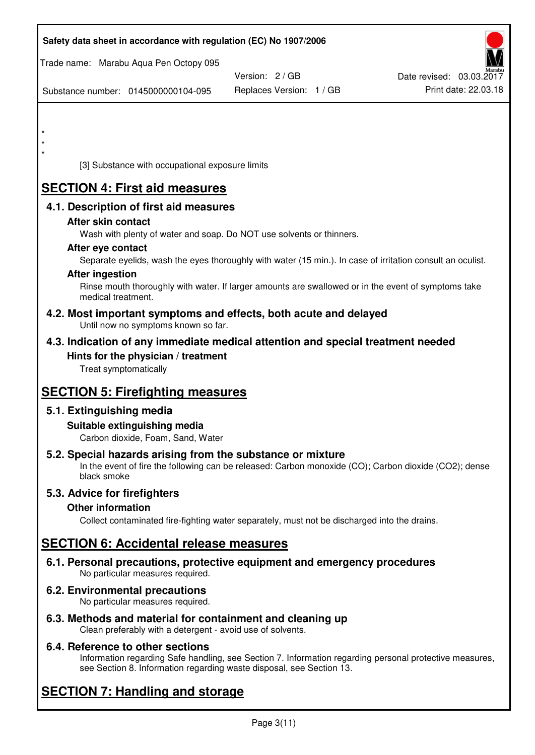| Safety data sheet in accordance with regulation (EC) No 1907/2006                                                                                                                  |                          |                          |
|------------------------------------------------------------------------------------------------------------------------------------------------------------------------------------|--------------------------|--------------------------|
| Trade name: Marabu Aqua Pen Octopy 095                                                                                                                                             | Version: 2/GB            | Date revised: 03.03.2017 |
| Substance number: 0145000000104-095                                                                                                                                                | Replaces Version: 1 / GB | Print date: 22.03.18     |
|                                                                                                                                                                                    |                          |                          |
|                                                                                                                                                                                    |                          |                          |
| $\star$<br>[3] Substance with occupational exposure limits                                                                                                                         |                          |                          |
|                                                                                                                                                                                    |                          |                          |
| <b>SECTION 4: First aid measures</b>                                                                                                                                               |                          |                          |
| 4.1. Description of first aid measures<br>After skin contact                                                                                                                       |                          |                          |
| Wash with plenty of water and soap. Do NOT use solvents or thinners.                                                                                                               |                          |                          |
| After eye contact                                                                                                                                                                  |                          |                          |
| Separate eyelids, wash the eyes thoroughly with water (15 min.). In case of irritation consult an oculist.<br><b>After ingestion</b>                                               |                          |                          |
| Rinse mouth thoroughly with water. If larger amounts are swallowed or in the event of symptoms take<br>medical treatment.                                                          |                          |                          |
| 4.2. Most important symptoms and effects, both acute and delayed<br>Until now no symptoms known so far.                                                                            |                          |                          |
| 4.3. Indication of any immediate medical attention and special treatment needed                                                                                                    |                          |                          |
| Hints for the physician / treatment<br>Treat symptomatically                                                                                                                       |                          |                          |
| <b>SECTION 5: Firefighting measures</b>                                                                                                                                            |                          |                          |
| 5.1. Extinguishing media                                                                                                                                                           |                          |                          |
| Suitable extinguishing media<br>Carbon dioxide, Foam, Sand, Water                                                                                                                  |                          |                          |
| 5.2. Special hazards arising from the substance or mixture<br>In the event of fire the following can be released: Carbon monoxide (CO); Carbon dioxide (CO2); dense<br>black smoke |                          |                          |
| 5.3. Advice for firefighters                                                                                                                                                       |                          |                          |
| <b>Other information</b><br>Collect contaminated fire-fighting water separately, must not be discharged into the drains.                                                           |                          |                          |
| <b>SECTION 6: Accidental release measures</b>                                                                                                                                      |                          |                          |
| 6.1. Personal precautions, protective equipment and emergency procedures<br>No particular measures required.                                                                       |                          |                          |
| 6.2. Environmental precautions<br>No particular measures required.                                                                                                                 |                          |                          |
|                                                                                                                                                                                    |                          |                          |

**6.3. Methods and material for containment and cleaning up**  Clean preferably with a detergent - avoid use of solvents.

# **6.4. Reference to other sections**

Information regarding Safe handling, see Section 7. Information regarding personal protective measures, see Section 8. Information regarding waste disposal, see Section 13.

# **SECTION 7: Handling and storage**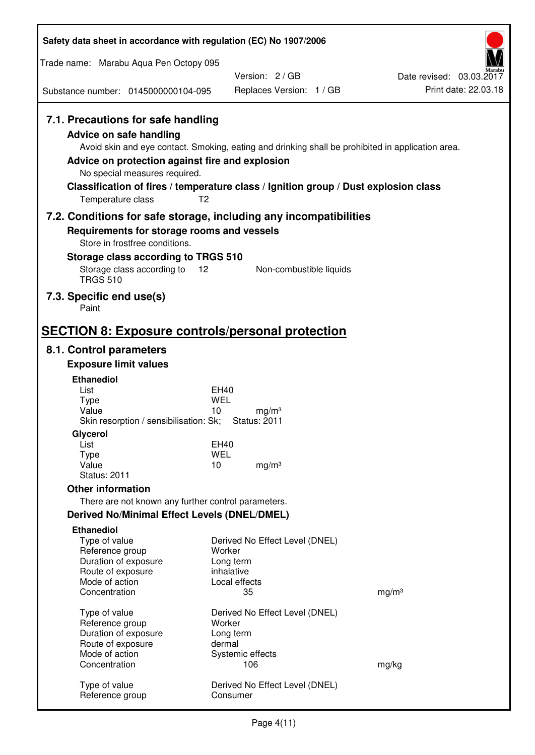| Safety data sheet in accordance with regulation (EC) No 1907/2006                                                                                                                               |                                                                                                                                                                                          |                                                  |
|-------------------------------------------------------------------------------------------------------------------------------------------------------------------------------------------------|------------------------------------------------------------------------------------------------------------------------------------------------------------------------------------------|--------------------------------------------------|
| Trade name: Marabu Aqua Pen Octopy 095                                                                                                                                                          |                                                                                                                                                                                          |                                                  |
| Substance number: 0145000000104-095                                                                                                                                                             | Version: 2/GB<br>Replaces Version: 1 / GB                                                                                                                                                | Date revised: 03.03.2017<br>Print date: 22.03.18 |
|                                                                                                                                                                                                 |                                                                                                                                                                                          |                                                  |
| 7.1. Precautions for safe handling<br><b>Advice on safe handling</b><br>Advice on protection against fire and explosion<br>No special measures required.<br>T <sub>2</sub><br>Temperature class | Avoid skin and eye contact. Smoking, eating and drinking shall be prohibited in application area.<br>Classification of fires / temperature class / Ignition group / Dust explosion class |                                                  |
|                                                                                                                                                                                                 | 7.2. Conditions for safe storage, including any incompatibilities                                                                                                                        |                                                  |
| Requirements for storage rooms and vessels<br>Store in frostfree conditions.                                                                                                                    |                                                                                                                                                                                          |                                                  |
| Storage class according to TRGS 510                                                                                                                                                             |                                                                                                                                                                                          |                                                  |
| Storage class according to<br>12<br><b>TRGS 510</b>                                                                                                                                             | Non-combustible liquids                                                                                                                                                                  |                                                  |
| 7.3. Specific end use(s)<br>Paint                                                                                                                                                               |                                                                                                                                                                                          |                                                  |
| <b>SECTION 8: Exposure controls/personal protection</b>                                                                                                                                         |                                                                                                                                                                                          |                                                  |
| 8.1. Control parameters                                                                                                                                                                         |                                                                                                                                                                                          |                                                  |
| <b>Exposure limit values</b>                                                                                                                                                                    |                                                                                                                                                                                          |                                                  |
| <b>Ethanediol</b><br>List                                                                                                                                                                       | EH40                                                                                                                                                                                     |                                                  |
| <b>Type</b>                                                                                                                                                                                     | <b>WEL</b>                                                                                                                                                                               |                                                  |
| Value<br>Skin resorption / sensibilisation: Sk;                                                                                                                                                 | 10<br>mg/m <sup>3</sup><br><b>Status: 2011</b>                                                                                                                                           |                                                  |
| Glycerol                                                                                                                                                                                        |                                                                                                                                                                                          |                                                  |
| List                                                                                                                                                                                            | EH40                                                                                                                                                                                     |                                                  |
| <b>Type</b><br>Value                                                                                                                                                                            | <b>WEL</b><br>10<br>mg/m <sup>3</sup>                                                                                                                                                    |                                                  |
| <b>Status: 2011</b>                                                                                                                                                                             |                                                                                                                                                                                          |                                                  |
| <b>Other information</b>                                                                                                                                                                        |                                                                                                                                                                                          |                                                  |
| There are not known any further control parameters.                                                                                                                                             |                                                                                                                                                                                          |                                                  |
| <b>Derived No/Minimal Effect Levels (DNEL/DMEL)</b>                                                                                                                                             |                                                                                                                                                                                          |                                                  |
| <b>Ethanediol</b><br>Type of value<br>Reference group<br>Duration of exposure<br>Route of exposure                                                                                              | Derived No Effect Level (DNEL)<br>Worker<br>Long term<br>inhalative                                                                                                                      |                                                  |
| Mode of action<br>Concentration                                                                                                                                                                 | Local effects<br>35                                                                                                                                                                      | mg/m <sup>3</sup>                                |
|                                                                                                                                                                                                 |                                                                                                                                                                                          |                                                  |
| Type of value                                                                                                                                                                                   | Derived No Effect Level (DNEL)                                                                                                                                                           |                                                  |
| Reference group<br>Duration of exposure                                                                                                                                                         | Worker<br>Long term                                                                                                                                                                      |                                                  |
| Route of exposure                                                                                                                                                                               | dermal                                                                                                                                                                                   |                                                  |
| Mode of action<br>Concentration                                                                                                                                                                 | Systemic effects<br>106                                                                                                                                                                  | mg/kg                                            |
| Type of value<br>Reference group                                                                                                                                                                | Derived No Effect Level (DNEL)<br>Consumer                                                                                                                                               |                                                  |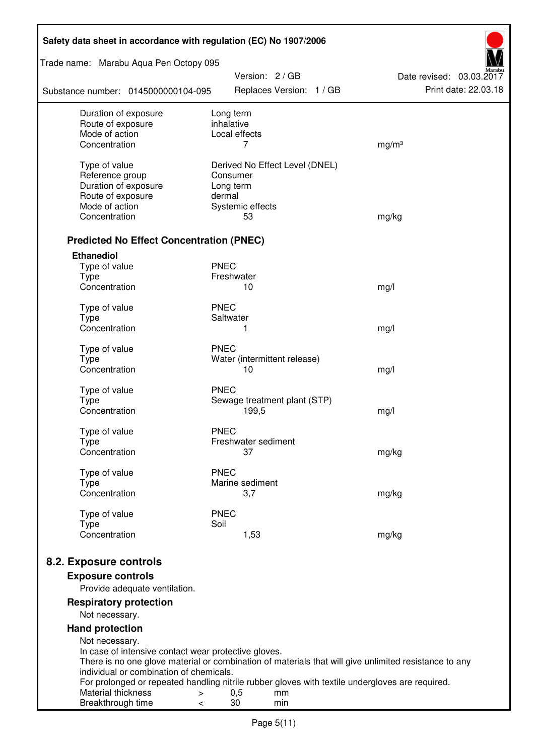| Trade name: Marabu Aqua Pen Octopy 095<br>Version: 2 / GB<br>Date revised: 03.03.2017<br>Print date: 22.03.18<br>Replaces Version: 1 / GB<br>Substance number: 0145000000104-095<br>Duration of exposure<br>Long term<br>inhalative<br>Route of exposure<br>Mode of action<br>Local effects<br>Concentration<br>7<br>mg/m <sup>3</sup><br>Type of value<br>Derived No Effect Level (DNEL)<br>Reference group<br>Consumer<br>Duration of exposure<br>Long term<br>Route of exposure<br>dermal<br>Mode of action<br>Systemic effects<br>Concentration<br>53<br>mg/kg<br><b>Predicted No Effect Concentration (PNEC)</b><br><b>Ethanediol</b><br><b>PNEC</b><br>Type of value<br><b>Type</b><br>Freshwater |
|---------------------------------------------------------------------------------------------------------------------------------------------------------------------------------------------------------------------------------------------------------------------------------------------------------------------------------------------------------------------------------------------------------------------------------------------------------------------------------------------------------------------------------------------------------------------------------------------------------------------------------------------------------------------------------------------------------|
|                                                                                                                                                                                                                                                                                                                                                                                                                                                                                                                                                                                                                                                                                                         |
|                                                                                                                                                                                                                                                                                                                                                                                                                                                                                                                                                                                                                                                                                                         |
|                                                                                                                                                                                                                                                                                                                                                                                                                                                                                                                                                                                                                                                                                                         |
|                                                                                                                                                                                                                                                                                                                                                                                                                                                                                                                                                                                                                                                                                                         |
|                                                                                                                                                                                                                                                                                                                                                                                                                                                                                                                                                                                                                                                                                                         |
|                                                                                                                                                                                                                                                                                                                                                                                                                                                                                                                                                                                                                                                                                                         |
|                                                                                                                                                                                                                                                                                                                                                                                                                                                                                                                                                                                                                                                                                                         |
|                                                                                                                                                                                                                                                                                                                                                                                                                                                                                                                                                                                                                                                                                                         |
|                                                                                                                                                                                                                                                                                                                                                                                                                                                                                                                                                                                                                                                                                                         |
|                                                                                                                                                                                                                                                                                                                                                                                                                                                                                                                                                                                                                                                                                                         |
|                                                                                                                                                                                                                                                                                                                                                                                                                                                                                                                                                                                                                                                                                                         |
|                                                                                                                                                                                                                                                                                                                                                                                                                                                                                                                                                                                                                                                                                                         |
|                                                                                                                                                                                                                                                                                                                                                                                                                                                                                                                                                                                                                                                                                                         |
|                                                                                                                                                                                                                                                                                                                                                                                                                                                                                                                                                                                                                                                                                                         |
| Concentration<br>10                                                                                                                                                                                                                                                                                                                                                                                                                                                                                                                                                                                                                                                                                     |
| mg/l                                                                                                                                                                                                                                                                                                                                                                                                                                                                                                                                                                                                                                                                                                    |
| <b>PNEC</b><br>Type of value                                                                                                                                                                                                                                                                                                                                                                                                                                                                                                                                                                                                                                                                            |
| <b>Type</b><br>Saltwater                                                                                                                                                                                                                                                                                                                                                                                                                                                                                                                                                                                                                                                                                |
| Concentration<br>1<br>mg/l                                                                                                                                                                                                                                                                                                                                                                                                                                                                                                                                                                                                                                                                              |
| <b>PNEC</b><br>Type of value                                                                                                                                                                                                                                                                                                                                                                                                                                                                                                                                                                                                                                                                            |
| <b>Type</b><br>Water (intermittent release)                                                                                                                                                                                                                                                                                                                                                                                                                                                                                                                                                                                                                                                             |
| Concentration<br>10<br>mg/l                                                                                                                                                                                                                                                                                                                                                                                                                                                                                                                                                                                                                                                                             |
| <b>PNEC</b><br>Type of value                                                                                                                                                                                                                                                                                                                                                                                                                                                                                                                                                                                                                                                                            |
| <b>Type</b><br>Sewage treatment plant (STP)                                                                                                                                                                                                                                                                                                                                                                                                                                                                                                                                                                                                                                                             |
| Concentration<br>199,5<br>mg/l                                                                                                                                                                                                                                                                                                                                                                                                                                                                                                                                                                                                                                                                          |
|                                                                                                                                                                                                                                                                                                                                                                                                                                                                                                                                                                                                                                                                                                         |
| Type of value<br><b>PNEC</b><br>Freshwater sediment<br>Type                                                                                                                                                                                                                                                                                                                                                                                                                                                                                                                                                                                                                                             |
| Concentration<br>37<br>mg/kg                                                                                                                                                                                                                                                                                                                                                                                                                                                                                                                                                                                                                                                                            |
|                                                                                                                                                                                                                                                                                                                                                                                                                                                                                                                                                                                                                                                                                                         |
| <b>PNEC</b><br>Type of value<br>Marine sediment                                                                                                                                                                                                                                                                                                                                                                                                                                                                                                                                                                                                                                                         |
| Type<br>Concentration<br>3,7<br>mg/kg                                                                                                                                                                                                                                                                                                                                                                                                                                                                                                                                                                                                                                                                   |
|                                                                                                                                                                                                                                                                                                                                                                                                                                                                                                                                                                                                                                                                                                         |
| Type of value<br><b>PNEC</b>                                                                                                                                                                                                                                                                                                                                                                                                                                                                                                                                                                                                                                                                            |
| Soil<br><b>Type</b><br>Concentration<br>1,53<br>mg/kg                                                                                                                                                                                                                                                                                                                                                                                                                                                                                                                                                                                                                                                   |
|                                                                                                                                                                                                                                                                                                                                                                                                                                                                                                                                                                                                                                                                                                         |
| 8.2. Exposure controls                                                                                                                                                                                                                                                                                                                                                                                                                                                                                                                                                                                                                                                                                  |
| <b>Exposure controls</b>                                                                                                                                                                                                                                                                                                                                                                                                                                                                                                                                                                                                                                                                                |
| Provide adequate ventilation.                                                                                                                                                                                                                                                                                                                                                                                                                                                                                                                                                                                                                                                                           |
| <b>Respiratory protection</b><br>Not necessary.                                                                                                                                                                                                                                                                                                                                                                                                                                                                                                                                                                                                                                                         |
| <b>Hand protection</b>                                                                                                                                                                                                                                                                                                                                                                                                                                                                                                                                                                                                                                                                                  |
| Not necessary.                                                                                                                                                                                                                                                                                                                                                                                                                                                                                                                                                                                                                                                                                          |
| In case of intensive contact wear protective gloves.                                                                                                                                                                                                                                                                                                                                                                                                                                                                                                                                                                                                                                                    |
| There is no one glove material or combination of materials that will give unlimited resistance to any                                                                                                                                                                                                                                                                                                                                                                                                                                                                                                                                                                                                   |
| individual or combination of chemicals.                                                                                                                                                                                                                                                                                                                                                                                                                                                                                                                                                                                                                                                                 |
| For prolonged or repeated handling nitrile rubber gloves with textile undergloves are required.<br>Material thickness<br>0,5<br>mm<br>$\, > \,$                                                                                                                                                                                                                                                                                                                                                                                                                                                                                                                                                         |
| 30<br>Breakthrough time<br>min<br>$\,<\,$                                                                                                                                                                                                                                                                                                                                                                                                                                                                                                                                                                                                                                                               |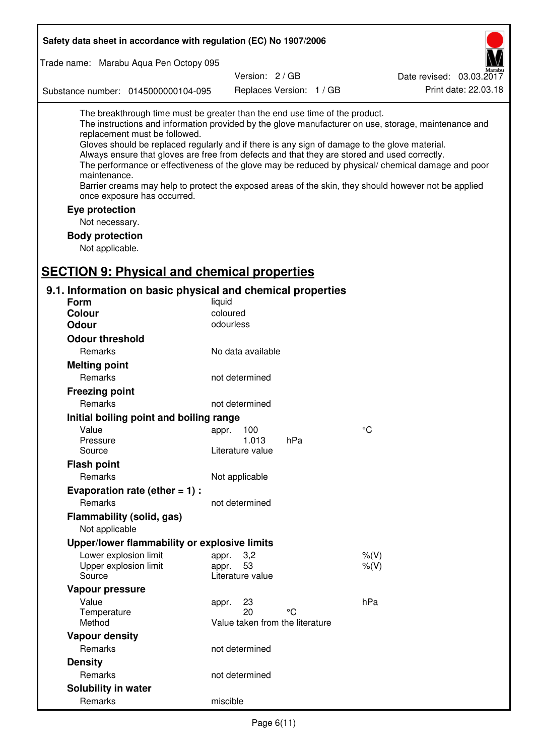| Safety data sheet in accordance with regulation (EC) No 1907/2006                                                                                                                                                                                                                                                                                            |                       |                                 |                                                                                                                                                                                                                                                                                                                    |
|--------------------------------------------------------------------------------------------------------------------------------------------------------------------------------------------------------------------------------------------------------------------------------------------------------------------------------------------------------------|-----------------------|---------------------------------|--------------------------------------------------------------------------------------------------------------------------------------------------------------------------------------------------------------------------------------------------------------------------------------------------------------------|
| Trade name: Marabu Aqua Pen Octopy 095                                                                                                                                                                                                                                                                                                                       |                       |                                 |                                                                                                                                                                                                                                                                                                                    |
|                                                                                                                                                                                                                                                                                                                                                              | Version: 2/GB         |                                 | Date revised: 03.03.2017                                                                                                                                                                                                                                                                                           |
| Substance number: 0145000000104-095                                                                                                                                                                                                                                                                                                                          |                       | Replaces Version: 1 / GB        | Print date: 22.03.18                                                                                                                                                                                                                                                                                               |
| The breakthrough time must be greater than the end use time of the product.<br>replacement must be followed.<br>Gloves should be replaced regularly and if there is any sign of damage to the glove material.<br>Always ensure that gloves are free from defects and that they are stored and used correctly.<br>maintenance.<br>once exposure has occurred. |                       |                                 | The instructions and information provided by the glove manufacturer on use, storage, maintenance and<br>The performance or effectiveness of the glove may be reduced by physical/ chemical damage and poor<br>Barrier creams may help to protect the exposed areas of the skin, they should however not be applied |
| Eye protection                                                                                                                                                                                                                                                                                                                                               |                       |                                 |                                                                                                                                                                                                                                                                                                                    |
| Not necessary.                                                                                                                                                                                                                                                                                                                                               |                       |                                 |                                                                                                                                                                                                                                                                                                                    |
| <b>Body protection</b>                                                                                                                                                                                                                                                                                                                                       |                       |                                 |                                                                                                                                                                                                                                                                                                                    |
| Not applicable.                                                                                                                                                                                                                                                                                                                                              |                       |                                 |                                                                                                                                                                                                                                                                                                                    |
|                                                                                                                                                                                                                                                                                                                                                              |                       |                                 |                                                                                                                                                                                                                                                                                                                    |
| <b>SECTION 9: Physical and chemical properties</b>                                                                                                                                                                                                                                                                                                           |                       |                                 |                                                                                                                                                                                                                                                                                                                    |
| 9.1. Information on basic physical and chemical properties                                                                                                                                                                                                                                                                                                   |                       |                                 |                                                                                                                                                                                                                                                                                                                    |
| Form                                                                                                                                                                                                                                                                                                                                                         | liquid                |                                 |                                                                                                                                                                                                                                                                                                                    |
| <b>Colour</b><br><b>Odour</b>                                                                                                                                                                                                                                                                                                                                | coloured<br>odourless |                                 |                                                                                                                                                                                                                                                                                                                    |
|                                                                                                                                                                                                                                                                                                                                                              |                       |                                 |                                                                                                                                                                                                                                                                                                                    |
| <b>Odour threshold</b>                                                                                                                                                                                                                                                                                                                                       |                       |                                 |                                                                                                                                                                                                                                                                                                                    |
| Remarks                                                                                                                                                                                                                                                                                                                                                      | No data available     |                                 |                                                                                                                                                                                                                                                                                                                    |
| <b>Melting point</b>                                                                                                                                                                                                                                                                                                                                         |                       |                                 |                                                                                                                                                                                                                                                                                                                    |
| Remarks                                                                                                                                                                                                                                                                                                                                                      | not determined        |                                 |                                                                                                                                                                                                                                                                                                                    |
| <b>Freezing point</b>                                                                                                                                                                                                                                                                                                                                        |                       |                                 |                                                                                                                                                                                                                                                                                                                    |
| Remarks                                                                                                                                                                                                                                                                                                                                                      | not determined        |                                 |                                                                                                                                                                                                                                                                                                                    |
| Initial boiling point and boiling range                                                                                                                                                                                                                                                                                                                      |                       |                                 |                                                                                                                                                                                                                                                                                                                    |
| Value<br>Pressure                                                                                                                                                                                                                                                                                                                                            | appr. 100<br>1.013    | hPa                             | $\rm ^{\circ}C$                                                                                                                                                                                                                                                                                                    |
| Source                                                                                                                                                                                                                                                                                                                                                       | Literature value      |                                 |                                                                                                                                                                                                                                                                                                                    |
| <b>Flash point</b>                                                                                                                                                                                                                                                                                                                                           |                       |                                 |                                                                                                                                                                                                                                                                                                                    |
| Remarks                                                                                                                                                                                                                                                                                                                                                      | Not applicable        |                                 |                                                                                                                                                                                                                                                                                                                    |
| Evaporation rate (ether $= 1$ ) :                                                                                                                                                                                                                                                                                                                            |                       |                                 |                                                                                                                                                                                                                                                                                                                    |
| Remarks                                                                                                                                                                                                                                                                                                                                                      | not determined        |                                 |                                                                                                                                                                                                                                                                                                                    |
| Flammability (solid, gas)                                                                                                                                                                                                                                                                                                                                    |                       |                                 |                                                                                                                                                                                                                                                                                                                    |
| Not applicable                                                                                                                                                                                                                                                                                                                                               |                       |                                 |                                                                                                                                                                                                                                                                                                                    |
| Upper/lower flammability or explosive limits                                                                                                                                                                                                                                                                                                                 |                       |                                 |                                                                                                                                                                                                                                                                                                                    |
| Lower explosion limit                                                                                                                                                                                                                                                                                                                                        | 3,2<br>appr.          |                                 | $%$ (V)                                                                                                                                                                                                                                                                                                            |
| Upper explosion limit                                                                                                                                                                                                                                                                                                                                        | 53<br>appr.           |                                 | $%$ $(V)$                                                                                                                                                                                                                                                                                                          |
| Source                                                                                                                                                                                                                                                                                                                                                       | Literature value      |                                 |                                                                                                                                                                                                                                                                                                                    |
| Vapour pressure                                                                                                                                                                                                                                                                                                                                              |                       |                                 |                                                                                                                                                                                                                                                                                                                    |
| Value                                                                                                                                                                                                                                                                                                                                                        | 23<br>appr.           | °C                              | hPa                                                                                                                                                                                                                                                                                                                |
| Temperature<br>Method                                                                                                                                                                                                                                                                                                                                        | 20                    | Value taken from the literature |                                                                                                                                                                                                                                                                                                                    |
| <b>Vapour density</b>                                                                                                                                                                                                                                                                                                                                        |                       |                                 |                                                                                                                                                                                                                                                                                                                    |
| Remarks                                                                                                                                                                                                                                                                                                                                                      | not determined        |                                 |                                                                                                                                                                                                                                                                                                                    |
| <b>Density</b>                                                                                                                                                                                                                                                                                                                                               |                       |                                 |                                                                                                                                                                                                                                                                                                                    |
| Remarks                                                                                                                                                                                                                                                                                                                                                      | not determined        |                                 |                                                                                                                                                                                                                                                                                                                    |
| Solubility in water                                                                                                                                                                                                                                                                                                                                          |                       |                                 |                                                                                                                                                                                                                                                                                                                    |
| Remarks                                                                                                                                                                                                                                                                                                                                                      | miscible              |                                 |                                                                                                                                                                                                                                                                                                                    |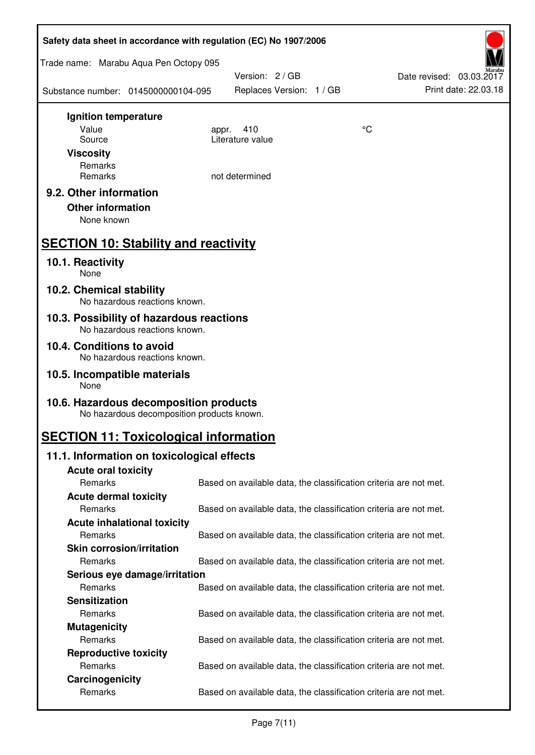| Safety data sheet in accordance with regulation (EC) No 1907/2006                    |                                                                   |    |                                                  |
|--------------------------------------------------------------------------------------|-------------------------------------------------------------------|----|--------------------------------------------------|
| Trade name: Marabu Aqua Pen Octopy 095                                               |                                                                   |    |                                                  |
| Substance number: 0145000000104-095                                                  | Version: 2 / GB<br>Replaces Version: 1 / GB                       |    | Date revised: 03.03.2017<br>Print date: 22.03.18 |
| Ignition temperature                                                                 |                                                                   |    |                                                  |
| Value<br>Source                                                                      | 410<br>appr.<br>Literature value                                  | °C |                                                  |
| <b>Viscosity</b>                                                                     |                                                                   |    |                                                  |
| Remarks                                                                              |                                                                   |    |                                                  |
| Remarks                                                                              | not determined                                                    |    |                                                  |
| 9.2. Other information<br><b>Other information</b><br>None known                     |                                                                   |    |                                                  |
| <b>SECTION 10: Stability and reactivity</b>                                          |                                                                   |    |                                                  |
| 10.1. Reactivity<br>None                                                             |                                                                   |    |                                                  |
| 10.2. Chemical stability<br>No hazardous reactions known.                            |                                                                   |    |                                                  |
| 10.3. Possibility of hazardous reactions<br>No hazardous reactions known.            |                                                                   |    |                                                  |
| 10.4. Conditions to avoid<br>No hazardous reactions known.                           |                                                                   |    |                                                  |
| 10.5. Incompatible materials<br>None                                                 |                                                                   |    |                                                  |
| 10.6. Hazardous decomposition products<br>No hazardous decomposition products known. |                                                                   |    |                                                  |
| <b>SECTION 11: Toxicological information</b>                                         |                                                                   |    |                                                  |
| 11.1. Information on toxicological effects                                           |                                                                   |    |                                                  |
| <b>Acute oral toxicity</b>                                                           |                                                                   |    |                                                  |
| Remarks                                                                              | Based on available data, the classification criteria are not met. |    |                                                  |
| <b>Acute dermal toxicity</b><br>Remarks                                              | Based on available data, the classification criteria are not met. |    |                                                  |
| <b>Acute inhalational toxicity</b>                                                   |                                                                   |    |                                                  |
| Remarks                                                                              | Based on available data, the classification criteria are not met. |    |                                                  |
| <b>Skin corrosion/irritation</b>                                                     |                                                                   |    |                                                  |
| Remarks                                                                              | Based on available data, the classification criteria are not met. |    |                                                  |
| Serious eye damage/irritation                                                        |                                                                   |    |                                                  |
| Remarks                                                                              | Based on available data, the classification criteria are not met. |    |                                                  |
| <b>Sensitization</b>                                                                 |                                                                   |    |                                                  |
| Remarks                                                                              | Based on available data, the classification criteria are not met. |    |                                                  |
| <b>Mutagenicity</b><br>Remarks                                                       |                                                                   |    |                                                  |
| <b>Reproductive toxicity</b>                                                         | Based on available data, the classification criteria are not met. |    |                                                  |
| Remarks                                                                              | Based on available data, the classification criteria are not met. |    |                                                  |
| Carcinogenicity                                                                      |                                                                   |    |                                                  |
| Remarks                                                                              | Based on available data, the classification criteria are not met. |    |                                                  |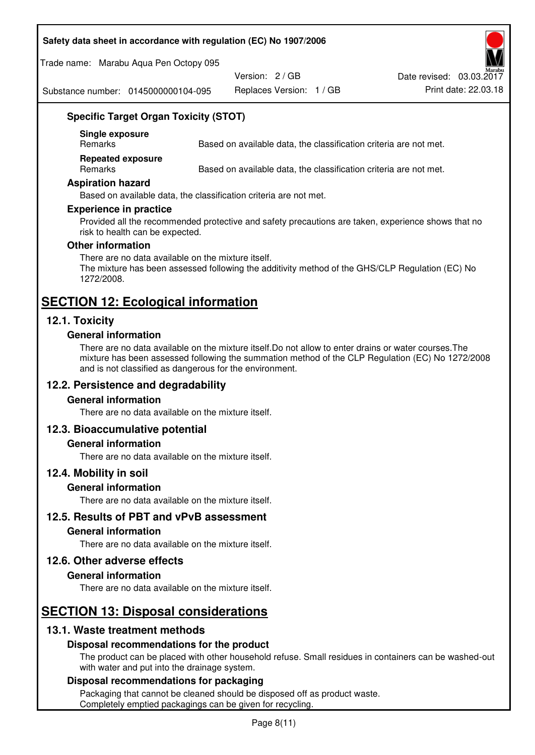#### **Safety data sheet in accordance with regulation (EC) No 1907/2006**

Trade name: Marabu Aqua Pen Octopy 095

Version: 2 / GB

Replaces Version: 1 / GB Print date: 22.03.18 Date revised: 03.03.2017

Substance number: 0145000000104-095

# **Specific Target Organ Toxicity (STOT)**

**Single exposure** 

Based on available data, the classification criteria are not met.

**Repeated exposure** 

Remarks Based on available data, the classification criteria are not met.

#### **Aspiration hazard**

Based on available data, the classification criteria are not met.

#### **Experience in practice**

Provided all the recommended protective and safety precautions are taken, experience shows that no risk to health can be expected.

#### **Other information**

There are no data available on the mixture itself. The mixture has been assessed following the additivity method of the GHS/CLP Regulation (EC) No 1272/2008.

# **SECTION 12: Ecological information**

# **12.1. Toxicity**

#### **General information**

There are no data available on the mixture itself.Do not allow to enter drains or water courses.The mixture has been assessed following the summation method of the CLP Regulation (EC) No 1272/2008 and is not classified as dangerous for the environment.

# **12.2. Persistence and degradability**

#### **General information**

There are no data available on the mixture itself.

#### **12.3. Bioaccumulative potential**

#### **General information**

There are no data available on the mixture itself.

#### **12.4. Mobility in soil**

#### **General information**

There are no data available on the mixture itself.

**12.5. Results of PBT and vPvB assessment** 

#### **General information**

There are no data available on the mixture itself.

#### **12.6. Other adverse effects**

#### **General information**

There are no data available on the mixture itself.

# **SECTION 13: Disposal considerations**

# **13.1. Waste treatment methods**

#### **Disposal recommendations for the product**

The product can be placed with other household refuse. Small residues in containers can be washed-out with water and put into the drainage system.

#### **Disposal recommendations for packaging**

Packaging that cannot be cleaned should be disposed off as product waste. Completely emptied packagings can be given for recycling.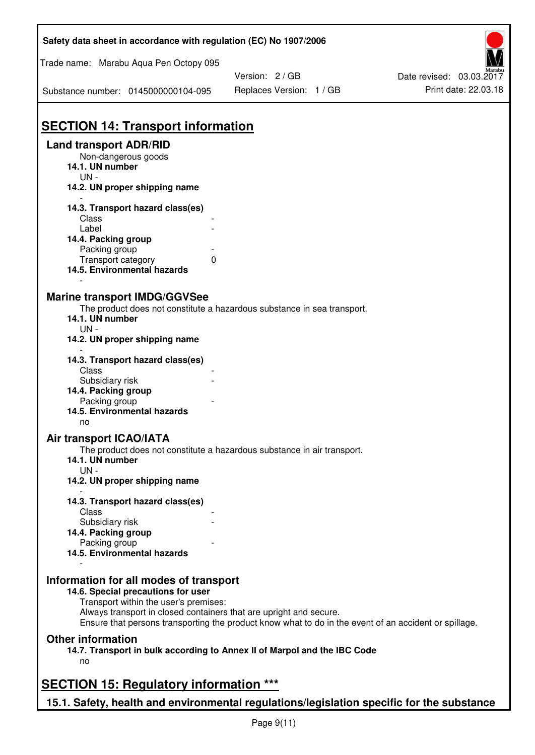| Safety data sheet in accordance with regulation (EC) No 1907/2006                         |                                                                                                       |                          |
|-------------------------------------------------------------------------------------------|-------------------------------------------------------------------------------------------------------|--------------------------|
| Trade name: Marabu Aqua Pen Octopy 095                                                    |                                                                                                       |                          |
|                                                                                           | Version: 2 / GB                                                                                       | Date revised: 03.03.2017 |
| Substance number: 0145000000104-095                                                       | Replaces Version: 1 / GB                                                                              | Print date: 22.03.18     |
| <b>SECTION 14: Transport information</b>                                                  |                                                                                                       |                          |
| <b>Land transport ADR/RID</b>                                                             |                                                                                                       |                          |
| Non-dangerous goods                                                                       |                                                                                                       |                          |
| 14.1. UN number                                                                           |                                                                                                       |                          |
| $UN -$                                                                                    |                                                                                                       |                          |
| 14.2. UN proper shipping name                                                             |                                                                                                       |                          |
| 14.3. Transport hazard class(es)                                                          |                                                                                                       |                          |
| Class                                                                                     |                                                                                                       |                          |
| Label                                                                                     |                                                                                                       |                          |
| 14.4. Packing group                                                                       |                                                                                                       |                          |
| Packing group                                                                             |                                                                                                       |                          |
| Transport category                                                                        | 0                                                                                                     |                          |
| 14.5. Environmental hazards                                                               |                                                                                                       |                          |
|                                                                                           |                                                                                                       |                          |
| <b>Marine transport IMDG/GGVSee</b>                                                       |                                                                                                       |                          |
|                                                                                           | The product does not constitute a hazardous substance in sea transport.                               |                          |
| 14.1. UN number                                                                           |                                                                                                       |                          |
| $UN -$                                                                                    |                                                                                                       |                          |
| 14.2. UN proper shipping name                                                             |                                                                                                       |                          |
|                                                                                           |                                                                                                       |                          |
| 14.3. Transport hazard class(es)<br>Class                                                 |                                                                                                       |                          |
| Subsidiary risk                                                                           |                                                                                                       |                          |
|                                                                                           |                                                                                                       |                          |
| 14.4. Packing group                                                                       |                                                                                                       |                          |
| Packing group                                                                             |                                                                                                       |                          |
| 14.5. Environmental hazards                                                               |                                                                                                       |                          |
| no                                                                                        |                                                                                                       |                          |
| Air transport ICAO/IATA                                                                   |                                                                                                       |                          |
|                                                                                           | The product does not constitute a hazardous substance in air transport.                               |                          |
| 14.1. UN number                                                                           |                                                                                                       |                          |
| $UN -$                                                                                    |                                                                                                       |                          |
| 14.2. UN proper shipping name                                                             |                                                                                                       |                          |
| 14.3. Transport hazard class(es)                                                          |                                                                                                       |                          |
| Class                                                                                     |                                                                                                       |                          |
| Subsidiary risk                                                                           |                                                                                                       |                          |
| 14.4. Packing group                                                                       |                                                                                                       |                          |
| Packing group                                                                             |                                                                                                       |                          |
| 14.5. Environmental hazards                                                               |                                                                                                       |                          |
|                                                                                           |                                                                                                       |                          |
| Information for all modes of transport                                                    |                                                                                                       |                          |
| 14.6. Special precautions for user                                                        |                                                                                                       |                          |
| Transport within the user's premises:                                                     |                                                                                                       |                          |
| Always transport in closed containers that are upright and secure.                        |                                                                                                       |                          |
|                                                                                           | Ensure that persons transporting the product know what to do in the event of an accident or spillage. |                          |
| <b>Other information</b>                                                                  |                                                                                                       |                          |
|                                                                                           | 14.7. Transport in bulk according to Annex II of Marpol and the IBC Code                              |                          |
| no                                                                                        |                                                                                                       |                          |
|                                                                                           |                                                                                                       |                          |
| <b>SECTION 15: Regulatory information ***</b>                                             |                                                                                                       |                          |
| 15.1. Safety, health and environmental regulations/legislation specific for the substance |                                                                                                       |                          |
|                                                                                           |                                                                                                       |                          |

Ī

٦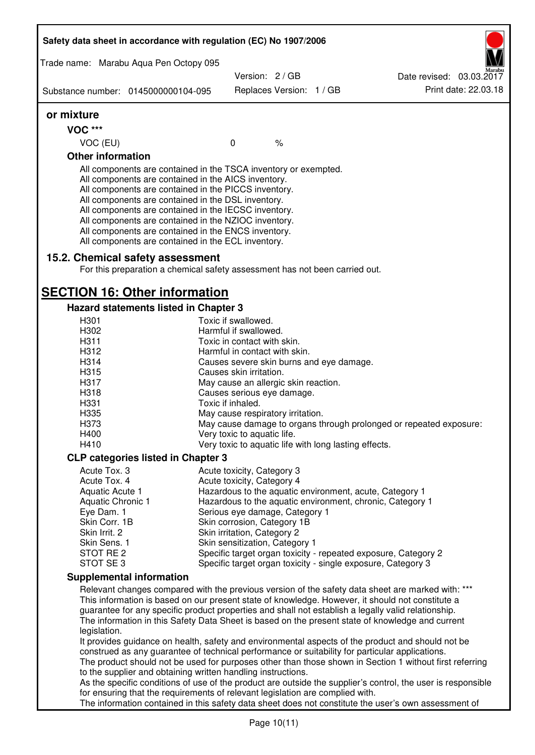|                              | Safety data sheet in accordance with regulation (EC) No 1907/2006                                                                                                                                                                                                                                                                                                                                                                                                 |                                                       |                          |                                                                                                                                                                                                         |
|------------------------------|-------------------------------------------------------------------------------------------------------------------------------------------------------------------------------------------------------------------------------------------------------------------------------------------------------------------------------------------------------------------------------------------------------------------------------------------------------------------|-------------------------------------------------------|--------------------------|---------------------------------------------------------------------------------------------------------------------------------------------------------------------------------------------------------|
|                              | Trade name: Marabu Aqua Pen Octopy 095                                                                                                                                                                                                                                                                                                                                                                                                                            |                                                       |                          |                                                                                                                                                                                                         |
|                              |                                                                                                                                                                                                                                                                                                                                                                                                                                                                   | Version: 2 / GB                                       |                          | Date revised: 03.03.2017<br>Print date: 22.03.18                                                                                                                                                        |
|                              | Substance number: 0145000000104-095                                                                                                                                                                                                                                                                                                                                                                                                                               |                                                       | Replaces Version: 1 / GB |                                                                                                                                                                                                         |
| or mixture                   |                                                                                                                                                                                                                                                                                                                                                                                                                                                                   |                                                       |                          |                                                                                                                                                                                                         |
| <b>VOC ***</b>               |                                                                                                                                                                                                                                                                                                                                                                                                                                                                   |                                                       |                          |                                                                                                                                                                                                         |
| VOC (EU)                     |                                                                                                                                                                                                                                                                                                                                                                                                                                                                   | $\mathbf 0$                                           | $\%$                     |                                                                                                                                                                                                         |
| <b>Other information</b>     |                                                                                                                                                                                                                                                                                                                                                                                                                                                                   |                                                       |                          |                                                                                                                                                                                                         |
|                              | All components are contained in the TSCA inventory or exempted.<br>All components are contained in the AICS inventory.<br>All components are contained in the PICCS inventory.<br>All components are contained in the DSL inventory.<br>All components are contained in the IECSC inventory.<br>All components are contained in the NZIOC inventory.<br>All components are contained in the ENCS inventory.<br>All components are contained in the ECL inventory. |                                                       |                          |                                                                                                                                                                                                         |
|                              | 15.2. Chemical safety assessment<br>For this preparation a chemical safety assessment has not been carried out.                                                                                                                                                                                                                                                                                                                                                   |                                                       |                          |                                                                                                                                                                                                         |
|                              | <b>SECTION 16: Other information</b>                                                                                                                                                                                                                                                                                                                                                                                                                              |                                                       |                          |                                                                                                                                                                                                         |
|                              | Hazard statements listed in Chapter 3                                                                                                                                                                                                                                                                                                                                                                                                                             |                                                       |                          |                                                                                                                                                                                                         |
| H301                         |                                                                                                                                                                                                                                                                                                                                                                                                                                                                   | Toxic if swallowed.                                   |                          |                                                                                                                                                                                                         |
| H302                         |                                                                                                                                                                                                                                                                                                                                                                                                                                                                   | Harmful if swallowed.                                 |                          |                                                                                                                                                                                                         |
| H311                         |                                                                                                                                                                                                                                                                                                                                                                                                                                                                   | Toxic in contact with skin.                           |                          |                                                                                                                                                                                                         |
| H312                         |                                                                                                                                                                                                                                                                                                                                                                                                                                                                   | Harmful in contact with skin.                         |                          |                                                                                                                                                                                                         |
| H314                         |                                                                                                                                                                                                                                                                                                                                                                                                                                                                   | Causes severe skin burns and eye damage.              |                          |                                                                                                                                                                                                         |
| H315                         |                                                                                                                                                                                                                                                                                                                                                                                                                                                                   | Causes skin irritation.                               |                          |                                                                                                                                                                                                         |
| H317                         |                                                                                                                                                                                                                                                                                                                                                                                                                                                                   | May cause an allergic skin reaction.                  |                          |                                                                                                                                                                                                         |
| H318                         |                                                                                                                                                                                                                                                                                                                                                                                                                                                                   | Causes serious eye damage.                            |                          |                                                                                                                                                                                                         |
| H331                         |                                                                                                                                                                                                                                                                                                                                                                                                                                                                   | Toxic if inhaled.                                     |                          |                                                                                                                                                                                                         |
| H335<br>H373                 |                                                                                                                                                                                                                                                                                                                                                                                                                                                                   | May cause respiratory irritation.                     |                          |                                                                                                                                                                                                         |
| H400                         |                                                                                                                                                                                                                                                                                                                                                                                                                                                                   | Very toxic to aquatic life.                           |                          | May cause damage to organs through prolonged or repeated exposure:                                                                                                                                      |
| H410                         |                                                                                                                                                                                                                                                                                                                                                                                                                                                                   | Very toxic to aquatic life with long lasting effects. |                          |                                                                                                                                                                                                         |
|                              |                                                                                                                                                                                                                                                                                                                                                                                                                                                                   |                                                       |                          |                                                                                                                                                                                                         |
|                              | <b>CLP categories listed in Chapter 3</b>                                                                                                                                                                                                                                                                                                                                                                                                                         |                                                       |                          |                                                                                                                                                                                                         |
| Acute Tox. 3<br>Acute Tox. 4 |                                                                                                                                                                                                                                                                                                                                                                                                                                                                   | Acute toxicity, Category 3                            |                          |                                                                                                                                                                                                         |
| Aquatic Acute 1              |                                                                                                                                                                                                                                                                                                                                                                                                                                                                   | Acute toxicity, Category 4                            |                          | Hazardous to the aquatic environment, acute, Category 1                                                                                                                                                 |
| Aquatic Chronic 1            |                                                                                                                                                                                                                                                                                                                                                                                                                                                                   |                                                       |                          | Hazardous to the aquatic environment, chronic, Category 1                                                                                                                                               |
| Eye Dam. 1                   |                                                                                                                                                                                                                                                                                                                                                                                                                                                                   | Serious eye damage, Category 1                        |                          |                                                                                                                                                                                                         |
| Skin Corr. 1B                |                                                                                                                                                                                                                                                                                                                                                                                                                                                                   | Skin corrosion, Category 1B                           |                          |                                                                                                                                                                                                         |
| Skin Irrit. 2                |                                                                                                                                                                                                                                                                                                                                                                                                                                                                   | Skin irritation, Category 2                           |                          |                                                                                                                                                                                                         |
| Skin Sens. 1                 |                                                                                                                                                                                                                                                                                                                                                                                                                                                                   | Skin sensitization, Category 1                        |                          |                                                                                                                                                                                                         |
| STOT RE 2                    |                                                                                                                                                                                                                                                                                                                                                                                                                                                                   |                                                       |                          | Specific target organ toxicity - repeated exposure, Category 2                                                                                                                                          |
| STOT SE3                     |                                                                                                                                                                                                                                                                                                                                                                                                                                                                   |                                                       |                          | Specific target organ toxicity - single exposure, Category 3                                                                                                                                            |
|                              | <b>Supplemental information</b>                                                                                                                                                                                                                                                                                                                                                                                                                                   |                                                       |                          |                                                                                                                                                                                                         |
|                              |                                                                                                                                                                                                                                                                                                                                                                                                                                                                   |                                                       |                          | Relevant changes compared with the previous version of the safety data sheet are marked with: ***                                                                                                       |
|                              |                                                                                                                                                                                                                                                                                                                                                                                                                                                                   |                                                       |                          | This information is based on our present state of knowledge. However, it should not constitute a                                                                                                        |
|                              |                                                                                                                                                                                                                                                                                                                                                                                                                                                                   |                                                       |                          | guarantee for any specific product properties and shall not establish a legally valid relationship.<br>The information in this Safety Data Sheet is based on the present state of knowledge and current |
| legislation.                 |                                                                                                                                                                                                                                                                                                                                                                                                                                                                   |                                                       |                          |                                                                                                                                                                                                         |
|                              |                                                                                                                                                                                                                                                                                                                                                                                                                                                                   |                                                       |                          | It provides guidance on health, safety and environmental aspects of the product and should not be                                                                                                       |
|                              | construed as any guarantee of technical performance or suitability for particular applications.                                                                                                                                                                                                                                                                                                                                                                   |                                                       |                          |                                                                                                                                                                                                         |
|                              |                                                                                                                                                                                                                                                                                                                                                                                                                                                                   |                                                       |                          | The product should not be used for purposes other than those shown in Section 1 without first referring                                                                                                 |
|                              | to the supplier and obtaining written handling instructions.                                                                                                                                                                                                                                                                                                                                                                                                      |                                                       |                          |                                                                                                                                                                                                         |
|                              |                                                                                                                                                                                                                                                                                                                                                                                                                                                                   |                                                       |                          | As the specific conditions of use of the product are outside the supplier's control, the user is responsible                                                                                            |
|                              | for ensuring that the requirements of relevant legislation are complied with.                                                                                                                                                                                                                                                                                                                                                                                     |                                                       |                          |                                                                                                                                                                                                         |
|                              |                                                                                                                                                                                                                                                                                                                                                                                                                                                                   |                                                       |                          | The information contained in this safety data sheet does not constitute the user's own assessment of                                                                                                    |